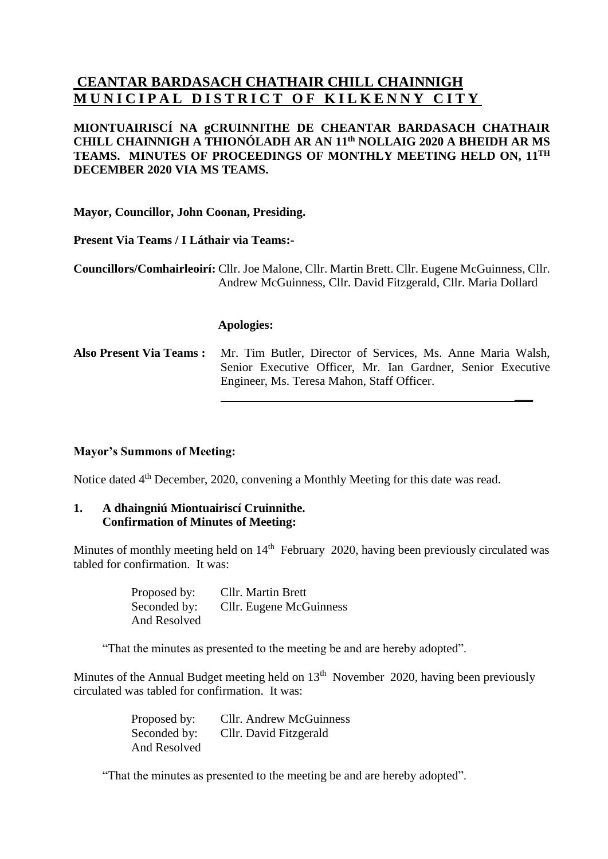# **CEANTAR BARDASACH CHATHAIR CHILL CHAINNIGH MUNICIPAL DISTRICT OF KILKENNY CITY**

### **MIONTUAIRISCÍ NA gCRUINNITHE DE CHEANTAR BARDASACH CHATHAIR CHILL CHAINNIGH A THIONÓLADH AR AN 11 th NOLLAIG 2020 A BHEIDH AR MS TEAMS. MINUTES OF PROCEEDINGS OF MONTHLY MEETING HELD ON, 11 TH DECEMBER 2020 VIA MS TEAMS.**

**Mayor, Councillor, John Coonan, Presiding.**

**Present Via Teams / I Láthair via Teams:-**

**Councillors/Comhairleoirí:** Cllr. Joe Malone, Cllr. Martin Brett. Cllr. Eugene McGuinness, Cllr. Andrew McGuinness, Cllr. David Fitzgerald, Cllr. Maria Dollard

#### **Apologies:**

**Also Present Via Teams :** Mr. Tim Butler, Director of Services, Ms. Anne Maria Walsh, Senior Executive Officer, Mr. Ian Gardner, Senior Executive Engineer, Ms. Teresa Mahon, Staff Officer.

**\_\_\_**

### **Mayor's Summons of Meeting:**

Notice dated 4<sup>th</sup> December, 2020, convening a Monthly Meeting for this date was read.

### **1. A dhaingniú Miontuairiscí Cruinnithe. Confirmation of Minutes of Meeting:**

Minutes of monthly meeting held on 14<sup>th</sup> February 2020, having been previously circulated was tabled for confirmation. It was:

> Proposed by: Cllr. Martin Brett Seconded by: Cllr. Eugene McGuinness And Resolved

"That the minutes as presented to the meeting be and are hereby adopted".

Minutes of the Annual Budget meeting held on 13<sup>th</sup> November 2020, having been previously circulated was tabled for confirmation. It was:

> Proposed by: Cllr. Andrew McGuinness Seconded by: Cllr. David Fitzgerald And Resolved

"That the minutes as presented to the meeting be and are hereby adopted".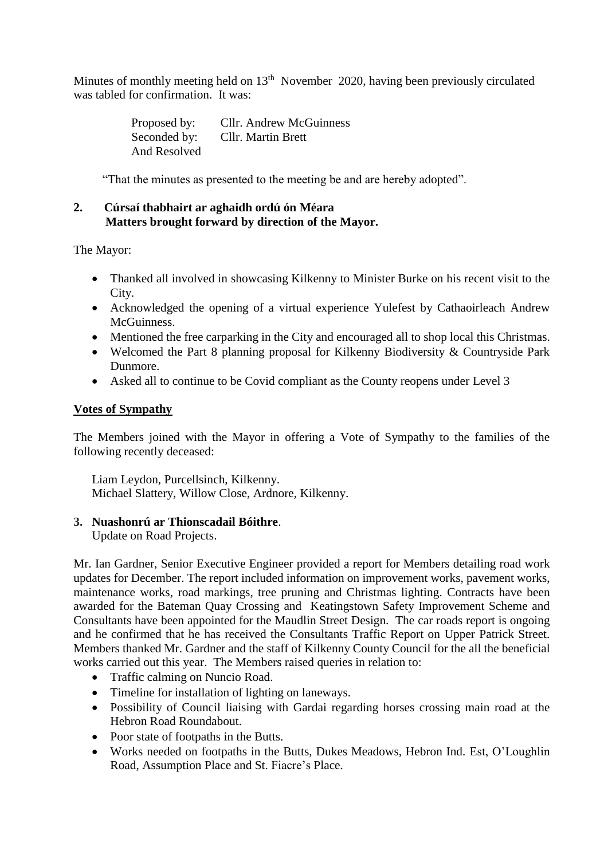Minutes of monthly meeting held on 13<sup>th</sup> November 2020, having been previously circulated was tabled for confirmation. It was:

> Proposed by: Cllr. Andrew McGuinness Seconded by: Cllr. Martin Brett And Resolved

"That the minutes as presented to the meeting be and are hereby adopted".

### **2. Cúrsaí thabhairt ar aghaidh ordú ón Méara Matters brought forward by direction of the Mayor.**

The Mayor:

- Thanked all involved in showcasing Kilkenny to Minister Burke on his recent visit to the City.
- Acknowledged the opening of a virtual experience Yulefest by Cathaoirleach Andrew **McGuinness**
- Mentioned the free carparking in the City and encouraged all to shop local this Christmas.
- Welcomed the Part 8 planning proposal for Kilkenny Biodiversity & Countryside Park Dunmore.
- Asked all to continue to be Covid compliant as the County reopens under Level 3

## **Votes of Sympathy**

The Members joined with the Mayor in offering a Vote of Sympathy to the families of the following recently deceased:

Liam Leydon, Purcellsinch, Kilkenny. Michael Slattery, Willow Close, Ardnore, Kilkenny.

## **3. Nuashonrú ar Thionscadail Bóithre**.

Update on Road Projects.

Mr. Ian Gardner, Senior Executive Engineer provided a report for Members detailing road work updates for December. The report included information on improvement works, pavement works, maintenance works, road markings, tree pruning and Christmas lighting. Contracts have been awarded for the Bateman Quay Crossing and Keatingstown Safety Improvement Scheme and Consultants have been appointed for the Maudlin Street Design. The car roads report is ongoing and he confirmed that he has received the Consultants Traffic Report on Upper Patrick Street. Members thanked Mr. Gardner and the staff of Kilkenny County Council for the all the beneficial works carried out this year. The Members raised queries in relation to:

- Traffic calming on Nuncio Road.
- Timeline for installation of lighting on laneways.
- Possibility of Council liaising with Gardai regarding horses crossing main road at the Hebron Road Roundabout.
- Poor state of footpaths in the Butts.
- Works needed on footpaths in the Butts, Dukes Meadows, Hebron Ind. Est, O'Loughlin Road, Assumption Place and St. Fiacre's Place.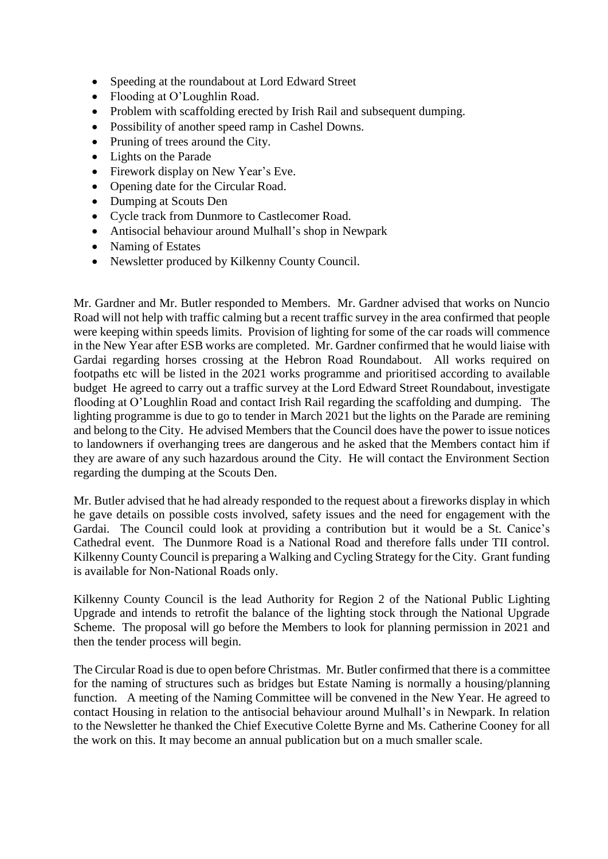- Speeding at the roundabout at Lord Edward Street
- Flooding at O'Loughlin Road.
- Problem with scaffolding erected by Irish Rail and subsequent dumping.
- Possibility of another speed ramp in Cashel Downs.
- Pruning of trees around the City.
- Lights on the Parade
- Firework display on New Year's Eve.
- Opening date for the Circular Road.
- Dumping at Scouts Den
- Cycle track from Dunmore to Castlecomer Road.
- Antisocial behaviour around Mulhall's shop in Newpark
- Naming of Estates
- Newsletter produced by Kilkenny County Council.

Mr. Gardner and Mr. Butler responded to Members. Mr. Gardner advised that works on Nuncio Road will not help with traffic calming but a recent traffic survey in the area confirmed that people were keeping within speeds limits. Provision of lighting for some of the car roads will commence in the New Year after ESB works are completed. Mr. Gardner confirmed that he would liaise with Gardai regarding horses crossing at the Hebron Road Roundabout. All works required on footpaths etc will be listed in the 2021 works programme and prioritised according to available budget He agreed to carry out a traffic survey at the Lord Edward Street Roundabout, investigate flooding at O'Loughlin Road and contact Irish Rail regarding the scaffolding and dumping. The lighting programme is due to go to tender in March 2021 but the lights on the Parade are remining and belong to the City. He advised Members that the Council does have the power to issue notices to landowners if overhanging trees are dangerous and he asked that the Members contact him if they are aware of any such hazardous around the City. He will contact the Environment Section regarding the dumping at the Scouts Den.

Mr. Butler advised that he had already responded to the request about a fireworks display in which he gave details on possible costs involved, safety issues and the need for engagement with the Gardai. The Council could look at providing a contribution but it would be a St. Canice's Cathedral event. The Dunmore Road is a National Road and therefore falls under TII control. Kilkenny County Council is preparing a Walking and Cycling Strategy for the City. Grant funding is available for Non-National Roads only.

Kilkenny County Council is the lead Authority for Region 2 of the National Public Lighting Upgrade and intends to retrofit the balance of the lighting stock through the National Upgrade Scheme. The proposal will go before the Members to look for planning permission in 2021 and then the tender process will begin.

The Circular Road is due to open before Christmas. Mr. Butler confirmed that there is a committee for the naming of structures such as bridges but Estate Naming is normally a housing/planning function. A meeting of the Naming Committee will be convened in the New Year. He agreed to contact Housing in relation to the antisocial behaviour around Mulhall's in Newpark. In relation to the Newsletter he thanked the Chief Executive Colette Byrne and Ms. Catherine Cooney for all the work on this. It may become an annual publication but on a much smaller scale.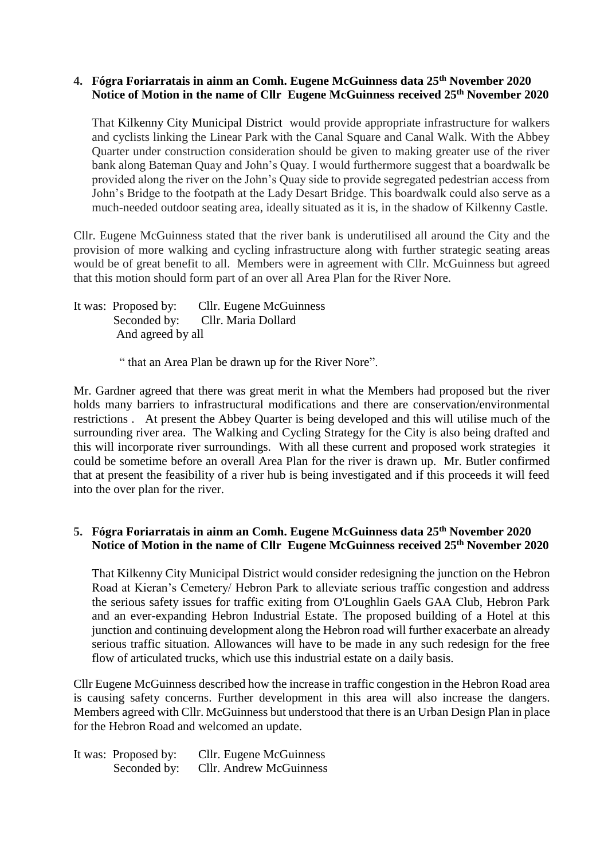### **4. Fógra Foriarratais in ainm an Comh. Eugene McGuinness data 25th November 2020 Notice of Motion in the name of Cllr Eugene McGuinness received 25th November 2020**

That Kilkenny City Municipal District would provide appropriate infrastructure for walkers and cyclists linking the Linear Park with the Canal Square and Canal Walk. With the Abbey Quarter under construction consideration should be given to making greater use of the river bank along Bateman Quay and John's Quay. I would furthermore suggest that a boardwalk be provided along the river on the John's Quay side to provide segregated pedestrian access from John's Bridge to the footpath at the Lady Desart Bridge. This boardwalk could also serve as a much-needed outdoor seating area, ideally situated as it is, in the shadow of Kilkenny Castle.

Cllr. Eugene McGuinness stated that the river bank is underutilised all around the City and the provision of more walking and cycling infrastructure along with further strategic seating areas would be of great benefit to all. Members were in agreement with Cllr. McGuinness but agreed that this motion should form part of an over all Area Plan for the River Nore.

It was: Proposed by: Cllr. Eugene McGuinness Seconded by: Cllr. Maria Dollard And agreed by all

" that an Area Plan be drawn up for the River Nore".

Mr. Gardner agreed that there was great merit in what the Members had proposed but the river holds many barriers to infrastructural modifications and there are conservation/environmental restrictions . At present the Abbey Quarter is being developed and this will utilise much of the surrounding river area. The Walking and Cycling Strategy for the City is also being drafted and this will incorporate river surroundings. With all these current and proposed work strategies it could be sometime before an overall Area Plan for the river is drawn up. Mr. Butler confirmed that at present the feasibility of a river hub is being investigated and if this proceeds it will feed into the over plan for the river.

### **5. Fógra Foriarratais in ainm an Comh. Eugene McGuinness data 25th November 2020 Notice of Motion in the name of Cllr Eugene McGuinness received 25th November 2020**

That Kilkenny City Municipal District would consider redesigning the junction on the Hebron Road at Kieran's Cemetery/ Hebron Park to alleviate serious traffic congestion and address the serious safety issues for traffic exiting from O'Loughlin Gaels GAA Club, Hebron Park and an ever-expanding Hebron Industrial Estate. The proposed building of a Hotel at this junction and continuing development along the Hebron road will further exacerbate an already serious traffic situation. Allowances will have to be made in any such redesign for the free flow of articulated trucks, which use this industrial estate on a daily basis.

Cllr Eugene McGuinness described how the increase in traffic congestion in the Hebron Road area is causing safety concerns. Further development in this area will also increase the dangers. Members agreed with Cllr. McGuinness but understood that there is an Urban Design Plan in place for the Hebron Road and welcomed an update.

It was: Proposed by: Cllr. Eugene McGuinness Seconded by: Cllr. Andrew McGuinness